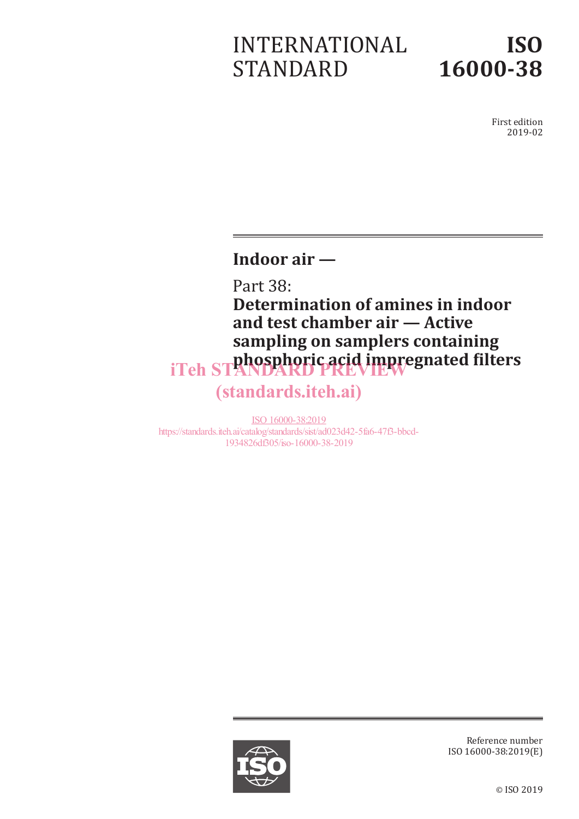# INTERNATIONAL STANDARD



First edition 2019-02

**Indoor air —**

Part 38:

**Determination of amines in indoor and test chamber air — Active sampling on samplers containing phosphoric acid impregnated filters** iTeh STANDARD PREVIEW

(standards.iteh.ai)

ISO 16000-38:2019 https://standards.iteh.ai/catalog/standards/sist/ad023d42-5fa6-47f3-bbcd-1934826df305/iso-16000-38-2019



Reference number ISO 16000-38:2019(E)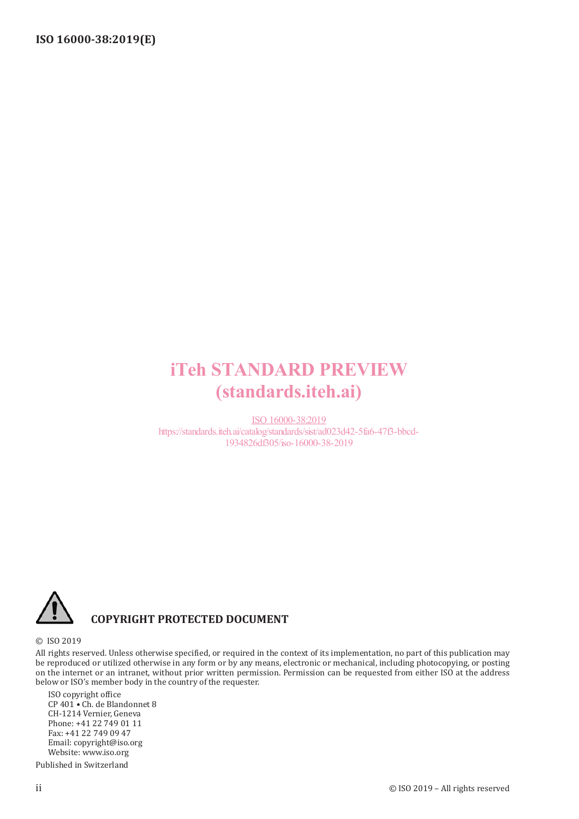# iTeh STANDARD PREVIEW (standards.iteh.ai)

ISO 16000-38:2019 https://standards.iteh.ai/catalog/standards/sist/ad023d42-5fa6-47f3-bbcd-1934826df305/iso-16000-38-2019



## **COPYRIGHT PROTECTED DOCUMENT**

#### © ISO 2019

All rights reserved. Unless otherwise specified, or required in the context of its implementation, no part of this publication may be reproduced or utilized otherwise in any form or by any means, electronic or mechanical, including photocopying, or posting on the internet or an intranet, without prior written permission. Permission can be requested from either ISO at the address below or ISO's member body in the country of the requester.

ISO copyright office CP 401 • Ch. de Blandonnet 8 CH-1214 Vernier, Geneva Phone: +41 22 749 01 11 Fax: +41 22 749 09 47 Email: copyright@iso.org Website: www.iso.org

Published in Switzerland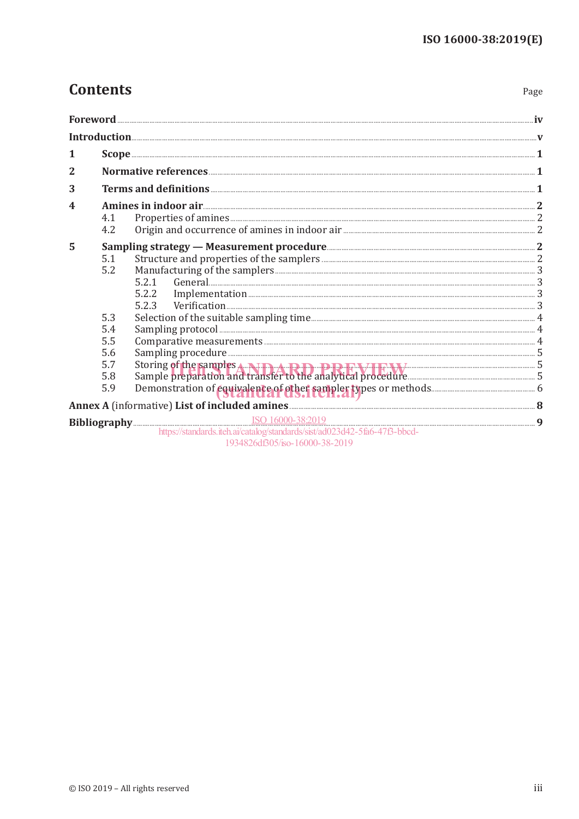Page

# **Contents**

| $\overline{\mathbf{2}}$ |     |                                                                                                              |  |  |
|-------------------------|-----|--------------------------------------------------------------------------------------------------------------|--|--|
| 3                       |     |                                                                                                              |  |  |
| 4                       |     |                                                                                                              |  |  |
|                         |     | Amines in indoor air 2<br>4.1 Properties of amines 2                                                         |  |  |
|                         | 4.2 |                                                                                                              |  |  |
| 5                       |     |                                                                                                              |  |  |
|                         | 5.1 |                                                                                                              |  |  |
|                         | 5.2 |                                                                                                              |  |  |
|                         |     | General 3<br>5.2.1                                                                                           |  |  |
|                         |     | Implementation 23<br>5.2.2                                                                                   |  |  |
|                         |     | 5.2.3                                                                                                        |  |  |
|                         | 5.3 |                                                                                                              |  |  |
|                         | 5.4 |                                                                                                              |  |  |
|                         | 5.5 |                                                                                                              |  |  |
|                         | 5.6 |                                                                                                              |  |  |
|                         | 5.7 |                                                                                                              |  |  |
|                         | 5.8 |                                                                                                              |  |  |
|                         | 5.9 |                                                                                                              |  |  |
|                         |     |                                                                                                              |  |  |
|                         |     |                                                                                                              |  |  |
|                         |     | https://standards.iteh.ai/catalog/standards/sist/ad023d42-5fa6-47f3-bbcd-<br>$100.1005(10005)$ $15000.00000$ |  |  |
|                         |     |                                                                                                              |  |  |

1934826df305/iso-16000-38-2019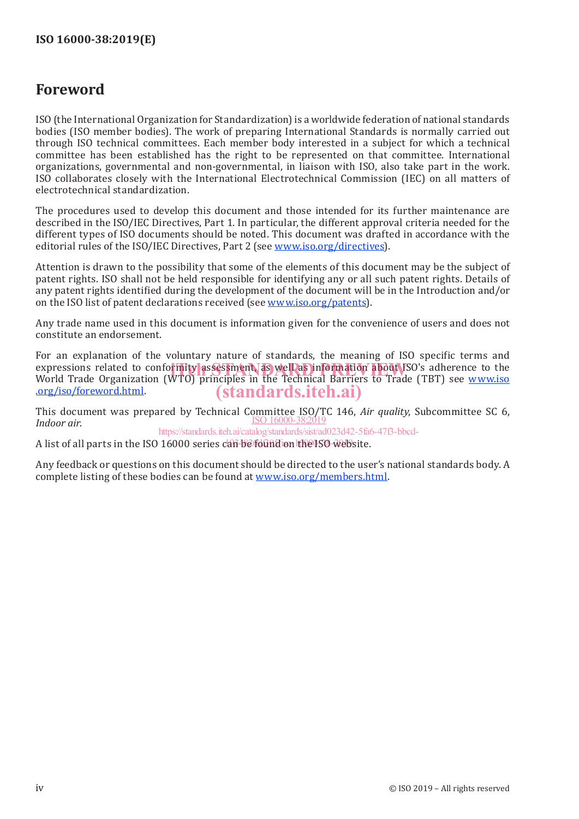## **Foreword**

ISO (the International Organization for Standardization) is a worldwide federation of national standards bodies (ISO member bodies). The work of preparing International Standards is normally carried out through ISO technical committees. Each member body interested in a subject for which a technical committee has been established has the right to be represented on that committee. International organizations, governmental and non-governmental, in liaison with ISO, also take part in the work. ISO collaborates closely with the International Electrotechnical Commission (IEC) on all matters of electrotechnical standardization.

The procedures used to develop this document and those intended for its further maintenance are described in the ISO/IEC Directives, Part 1. In particular, the different approval criteria needed for the different types of ISO documents should be noted. This document was drafted in accordance with the editorial rules of the ISO/IEC Directives, Part 2 (see www.iso.org/directives).

Attention is drawn to the possibility that some of the elements of this document may be the subject of patent rights. ISO shall not be held responsible for identifying any or all such patent rights. Details of any patent rights identified during the development of the document will be in the Introduction and/or on the ISO list of patent declarations received (see www.iso.org/patents).

Any trade name used in this document is information given for the convenience of users and does not constitute an endorsement.

For an explanation of the voluntary nature of standards, the meaning of ISO specific terms and expressions related to conformity assessment, as well as information about ISO's adherence to the expressions of the Water of the Technical Barriers to Trade (TBT) see www.iso. World Trade Organization (WTO) principles in the Technical Barriers to Trade (TBT) see www.iso .org/iso/foreword.html. (standards.iteh.ai)

This document was prepared by Technical Committee ISO/TC 146, *Air quality*, Subcommittee SC 6, *Indoor air*. ISO 16000-38:2019

https://standards.iteh.ai/catalog/standards/sist/ad023d42-5fa6-47f3-bbcd-

A list of all parts in the ISO 16000 series can be found on the ISO-website.

Any feedback or questions on this document should be directed to the user's national standards body. A complete listing of these bodies can be found at www.iso.org/members.html.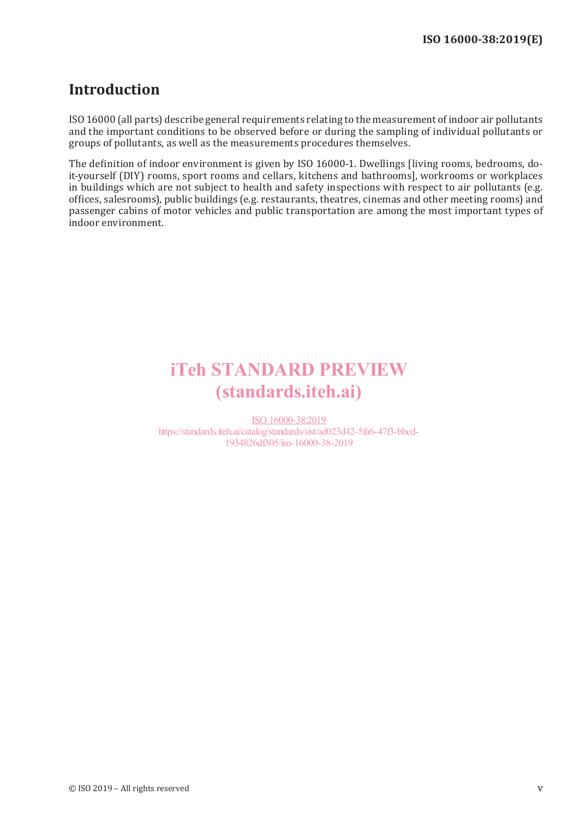## **Introduction**

ISO 16000 (all parts) describe general requirements relating to the measurement of indoor air pollutants and the important conditions to be observed before or during the sampling of individual pollutants or groups of pollutants, as well as the measurements procedures themselves.

The definition of indoor environment is given by ISO 16000-1. Dwellings [living rooms, bedrooms, doit-yourself (DIY) rooms, sport rooms and cellars, kitchens and bathrooms], workrooms or workplaces in buildings which are not subject to health and safety inspections with respect to air pollutants (e.g. offices, salesrooms), public buildings (e.g. restaurants, theatres, cinemas and other meeting rooms) and passenger cabins of motor vehicles and public transportation are among the most important types of indoor environment.

# iTeh STANDARD PREVIEW (standards.iteh.ai)

ISO 16000-38:2019 https://standards.iteh.ai/catalog/standards/sist/ad023d42-5fa6-47f3-bbcd-1934826df305/iso-16000-38-2019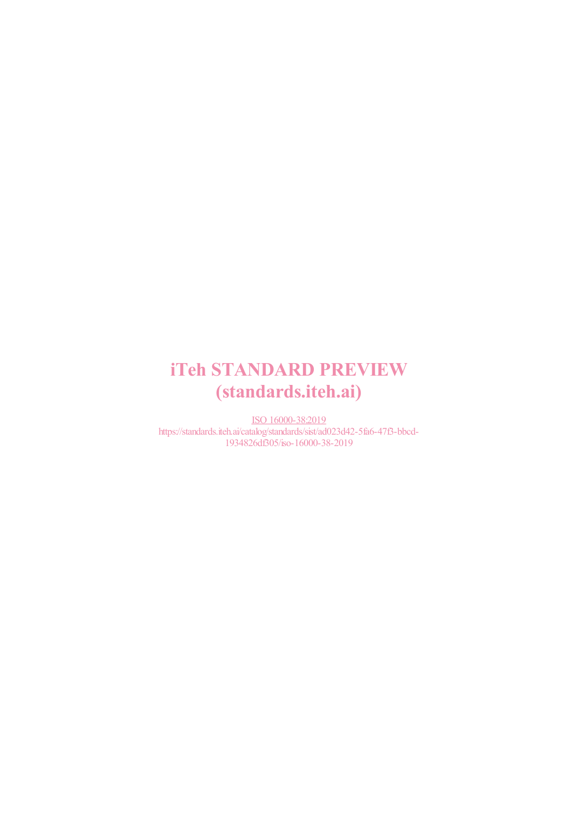# iTeh STANDARD PREVIEW (standards.iteh.ai)

ISO 16000-38:2019 https://standards.iteh.ai/catalog/standards/sist/ad023d42-5fa6-47f3-bbcd-1934826df305/iso-16000-38-2019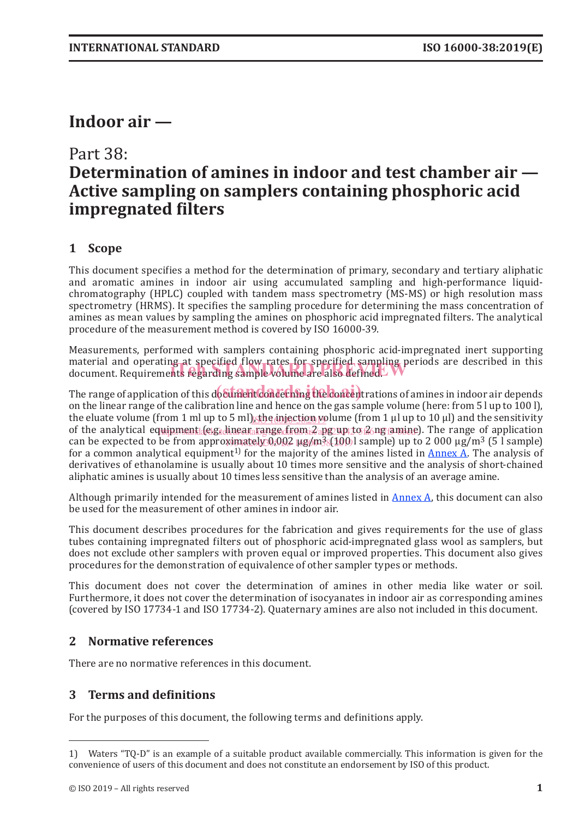## **Indoor air —**

## Part 38: **Determination of amines in indoor and test chamber air — Active sampling on samplers containing phosphoric acid impregnated filters**

### **1 Scope**

This document specifies a method for the determination of primary, secondary and tertiary aliphatic and aromatic amines in indoor air using accumulated sampling and high-performance liquidchromatography (HPLC) coupled with tandem mass spectrometry (MS-MS) or high resolution mass spectrometry (HRMS). It specifies the sampling procedure for determining the mass concentration of amines as mean values by sampling the amines on phosphoric acid impregnated filters. The analytical procedure of the measurement method is covered by ISO 16000-39.

Measurements, performed with samplers containing phosphoric acid-impregnated inert supporting material and operating at specified flow rates for specified sampling periods are described in this material and operating at specified flow rates for specified sampling per<br>document. Requirements regarding sample volume are also defined.

The range of application of this document concerning the concentrations of amines in indoor air depends on the linear range of the calibration line and hence on the gas sample volume (here: from 5 l up to 100 l), the eluate volume (from 1 ml up to 5 ml), the injection volume (from 1 µl up to 10 µl) and the sensitivity of the analytical equipment (e.g. dinear range from 2 pg up to 2 ng amine). The range of application can be expected to be from approximately  $0.002$   $\mu$ g/m<sup>3</sup> (100) sample) up to 2 000  $\mu$ g/m<sup>3</sup> (5 l sample) for a common analytical equipment<sup>1)</sup> for the majority of the amines listed in Annex  $\overline{A}$ . The analysis of derivatives of ethanolamine is usually about 10 times more sensitive and the analysis of short-chained aliphatic amines is usually about 10 times less sensitive than the analysis of an average amine.

Although primarily intended for the measurement of amines listed in Annex A, this document can also be used for the measurement of other amines in indoor air.

This document describes procedures for the fabrication and gives requirements for the use of glass tubes containing impregnated filters out of phosphoric acid-impregnated glass wool as samplers, but does not exclude other samplers with proven equal or improved properties. This document also gives procedures for the demonstration of equivalence of other sampler types or methods.

This document does not cover the determination of amines in other media like water or soil. Furthermore, it does not cover the determination of isocyanates in indoor air as corresponding amines (covered by ISO 17734-1 and ISO 17734-2). Quaternary amines are also not included in this document.

### **2 Normative references**

There are no normative references in this document.

### **3 Terms and definitions**

For the purposes of this document, the following terms and definitions apply.

<sup>1)</sup> Waters "TQ-D" is an example of a suitable product available commercially. This information is given for the convenience of users of this document and does not constitute an endorsement by ISO of this product.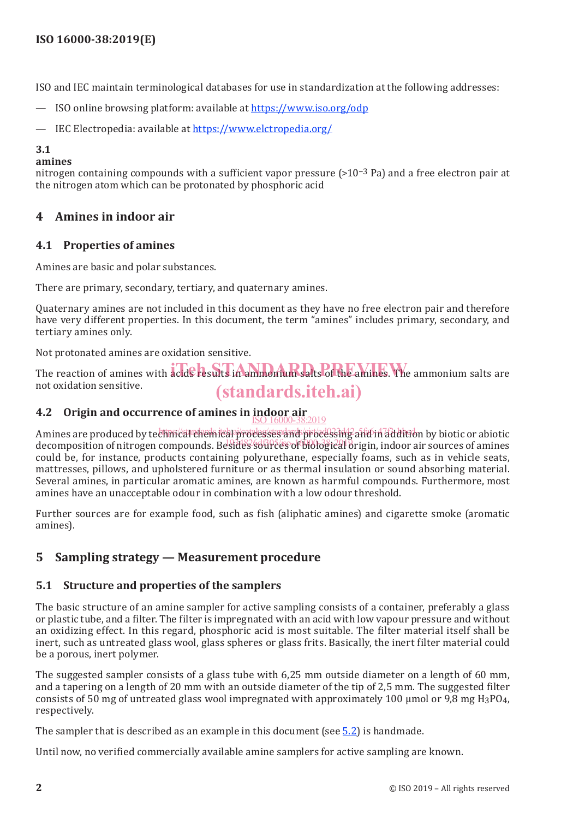ISO and IEC maintain terminological databases for use in standardization at the following addresses:

- ISO online browsing platform: available at https://www.iso.org/odp
- IEC Electropedia: available at https://www.elctropedia.org/

#### **3.1**

#### **amines**

nitrogen containing compounds with a sufficient vapor pressure (>10−3 Pa) and a free electron pair at the nitrogen atom which can be protonated by phosphoric acid

### **4 Amines in indoor air**

#### **4.1 Properties of amines**

Amines are basic and polar substances.

There are primary, secondary, tertiary, and quaternary amines.

Quaternary amines are not included in this document as they have no free electron pair and therefore have very different properties. In this document, the term "amines" includes primary, secondary, and tertiary amines only.

Not protonated amines are oxidation sensitive.

The reaction of amines with acids results in ammonium salts of the amines. The ammonium salts are not oxidation sensitive. (standards.iteh.ai)

# **4.2 Origin and occurrence of amines in indoor air** ISO 16000-38:2019

Amines are produced by technical chemical processes and processing and in addition by biotic or abiotic decomposition of nitrogen compounds. Besides sources of biological origin, indoor air sources of amines could be, for instance, products containing polyurethane, especially foams, such as in vehicle seats, mattresses, pillows, and upholstered furniture or as thermal insulation or sound absorbing material. Several amines, in particular aromatic amines, are known as harmful compounds. Furthermore, most amines have an unacceptable odour in combination with a low odour threshold.

Further sources are for example food, such as fish (aliphatic amines) and cigarette smoke (aromatic amines).

### **5 Sampling strategy — Measurement procedure**

#### **5.1 Structure and properties of the samplers**

The basic structure of an amine sampler for active sampling consists of a container, preferably a glass or plastic tube, and a filter. The filter is impregnated with an acid with low vapour pressure and without an oxidizing effect. In this regard, phosphoric acid is most suitable. The filter material itself shall be inert, such as untreated glass wool, glass spheres or glass frits. Basically, the inert filter material could be a porous, inert polymer.

The suggested sampler consists of a glass tube with 6,25 mm outside diameter on a length of 60 mm, and a tapering on a length of 20 mm with an outside diameter of the tip of 2,5 mm. The suggested filter consists of 50 mg of untreated glass wool impregnated with approximately 100 µmol or 9.8 mg H<sub>3</sub>PO<sub>4</sub>. respectively.

The sampler that is described as an example in this document (see 5.2) is handmade.

Until now, no verified commercially available amine samplers for active sampling are known.